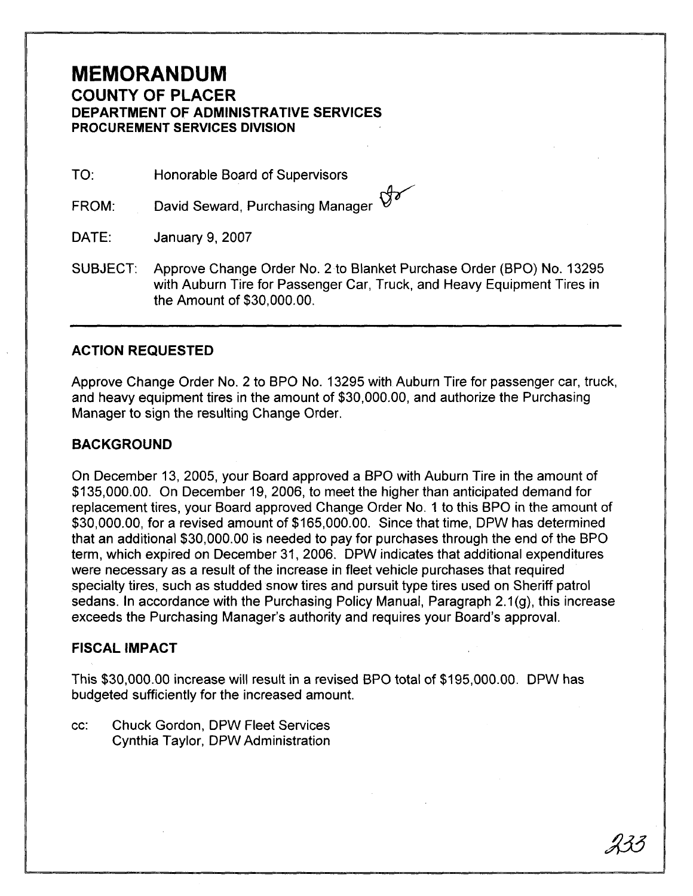# **MEMORANDUM**

## **COUNTY OF PLACER DEPARTMENT OF ADMINISTRATIVE SERVICES PROCUREMENT SERVICES DIVISION**

TO: Honorable Board of Supervisors

David Seward, Purchasing Manager  $\vartheta$ FROM:

DATE: January 9,2007

SUBJECT: Approve Change Order No. 2 to Blanket Purchase Order (BPO) No. 13295 with Auburn Tire for Passenger Car, Truck, and Heavy Equipment Tires in the Amount of \$30,000.00.

### **ACTION REQUESTED**

Approve Change Order No. 2 to BPO No. 13295 with Auburn Tire for passenger car, truck, and heavy equipment tires in the amount of \$30,000.00, and authorize the Purchasing Manager to sign the resulting Change Order.

### **BACKGROUND**

On December 13, 2005, your Board approved a BPO with Auburn Tire in the amount of \$135,000.00. On December 19, 2006, to meet the higher than anticipated demand for replacement tires, your Board approved Change Order No. 1 to this BPO in the amount of \$30,000.00, for a revised amount of \$165,000.00. Since that time, DPW has determined that an additional \$30,000.00 is needed to pay for purchases through the end of the BPO term, which expired on December 31, 2006. DPW indicates that additional expenditures were necessary as a result of the increase in fleet vehicle purchases that required specialty tires, such as studded snow tires and pursuit type tires used on Sheriff patrol sedans. In accordance with the Purchasing Policy Manual, Paragraph 2.1(g), this increase exceeds the Purchasing Manager's authority and requires your Board's approval.

#### **FISCAL IMPACT**

This \$30,000.00 increase will result in a revised BPO total of \$195,000.00. DPW has budgeted sufficiently for the increased amount.

cc: Chuck Gordon, DPW Fleet Services Cynthia Taylor, DPW Administration